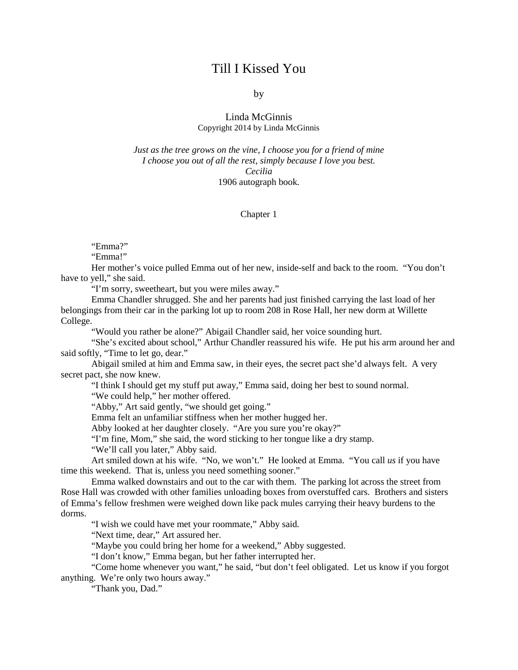## Till I Kissed You

by

## Linda McGinnis Copyright 2014 by Linda McGinnis

*Just as the tree grows on the vine, I choose you for a friend of mine I choose you out of all the rest, simply because I love you best. Cecilia* 1906 autograph book.

## Chapter 1

"Emma?"

"Emma!"

Her mother's voice pulled Emma out of her new, inside-self and back to the room. "You don't have to yell," she said.

"I'm sorry, sweetheart, but you were miles away."

Emma Chandler shrugged. She and her parents had just finished carrying the last load of her belongings from their car in the parking lot up to room 208 in Rose Hall, her new dorm at Willette College.

"Would you rather be alone?" Abigail Chandler said, her voice sounding hurt.

"She's excited about school," Arthur Chandler reassured his wife. He put his arm around her and said softly, "Time to let go, dear."

Abigail smiled at him and Emma saw, in their eyes, the secret pact she'd always felt. A very secret pact, she now knew.

"I think I should get my stuff put away," Emma said, doing her best to sound normal.

"We could help," her mother offered.

"Abby," Art said gently, "we should get going."

Emma felt an unfamiliar stiffness when her mother hugged her.

Abby looked at her daughter closely. "Are you sure you're okay?"

"I'm fine, Mom," she said, the word sticking to her tongue like a dry stamp.

"We'll call you later," Abby said.

Art smiled down at his wife. "No, we won't." He looked at Emma. "You call *us* if you have time this weekend. That is, unless you need something sooner."

Emma walked downstairs and out to the car with them. The parking lot across the street from Rose Hall was crowded with other families unloading boxes from overstuffed cars. Brothers and sisters of Emma's fellow freshmen were weighed down like pack mules carrying their heavy burdens to the dorms.

"I wish we could have met your roommate," Abby said.

"Next time, dear," Art assured her.

"Maybe you could bring her home for a weekend," Abby suggested.

"I don't know," Emma began, but her father interrupted her.

"Come home whenever you want," he said, "but don't feel obligated. Let us know if you forgot anything. We're only two hours away."

"Thank you, Dad."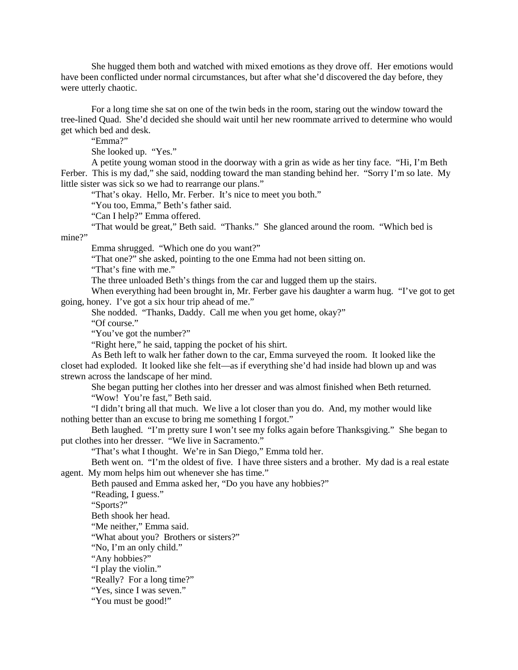She hugged them both and watched with mixed emotions as they drove off. Her emotions would have been conflicted under normal circumstances, but after what she'd discovered the day before, they were utterly chaotic.

For a long time she sat on one of the twin beds in the room, staring out the window toward the tree-lined Quad. She'd decided she should wait until her new roommate arrived to determine who would get which bed and desk.

"Emma?"

She looked up. "Yes."

A petite young woman stood in the doorway with a grin as wide as her tiny face. "Hi, I'm Beth Ferber. This is my dad," she said, nodding toward the man standing behind her. "Sorry I'm so late. My little sister was sick so we had to rearrange our plans."

"That's okay. Hello, Mr. Ferber. It's nice to meet you both."

"You too, Emma," Beth's father said.

"Can I help?" Emma offered.

"That would be great," Beth said. "Thanks." She glanced around the room. "Which bed is mine?"

Emma shrugged. "Which one do you want?"

"That one?" she asked, pointing to the one Emma had not been sitting on.

"That's fine with me."

The three unloaded Beth's things from the car and lugged them up the stairs.

When everything had been brought in, Mr. Ferber gave his daughter a warm hug. "I've got to get going, honey. I've got a six hour trip ahead of me."

She nodded. "Thanks, Daddy. Call me when you get home, okay?"

"Of course."

"You've got the number?"

"Right here," he said, tapping the pocket of his shirt.

As Beth left to walk her father down to the car, Emma surveyed the room. It looked like the closet had exploded. It looked like she felt—as if everything she'd had inside had blown up and was strewn across the landscape of her mind.

She began putting her clothes into her dresser and was almost finished when Beth returned. "Wow! You're fast," Beth said.

"I didn't bring all that much. We live a lot closer than you do. And, my mother would like nothing better than an excuse to bring me something I forgot."

Beth laughed. "I'm pretty sure I won't see my folks again before Thanksgiving." She began to put clothes into her dresser. "We live in Sacramento."

"That's what I thought. We're in San Diego," Emma told her.

Beth went on. "I'm the oldest of five. I have three sisters and a brother. My dad is a real estate agent. My mom helps him out whenever she has time."

Beth paused and Emma asked her, "Do you have any hobbies?"

"Reading, I guess."

"Sports?"

Beth shook her head.

"Me neither," Emma said.

"What about you? Brothers or sisters?"

"No, I'm an only child."

"Any hobbies?"

"I play the violin."

"Really? For a long time?"

"Yes, since I was seven."

"You must be good!"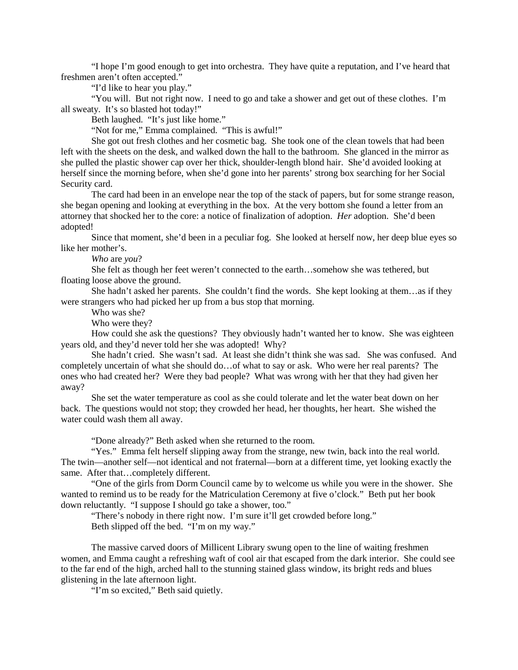"I hope I'm good enough to get into orchestra. They have quite a reputation, and I've heard that freshmen aren't often accepted."

"I'd like to hear you play."

"You will. But not right now. I need to go and take a shower and get out of these clothes. I'm all sweaty. It's so blasted hot today!"

Beth laughed. "It's just like home."

"Not for me," Emma complained. "This is awful!"

She got out fresh clothes and her cosmetic bag. She took one of the clean towels that had been left with the sheets on the desk, and walked down the hall to the bathroom. She glanced in the mirror as she pulled the plastic shower cap over her thick, shoulder-length blond hair. She'd avoided looking at herself since the morning before, when she'd gone into her parents' strong box searching for her Social Security card.

The card had been in an envelope near the top of the stack of papers, but for some strange reason, she began opening and looking at everything in the box. At the very bottom she found a letter from an attorney that shocked her to the core: a notice of finalization of adoption. *Her* adoption. She'd been adopted!

Since that moment, she'd been in a peculiar fog. She looked at herself now, her deep blue eyes so like her mother's.

*Who* are *you*?

She felt as though her feet weren't connected to the earth…somehow she was tethered, but floating loose above the ground.

She hadn't asked her parents. She couldn't find the words. She kept looking at them…as if they were strangers who had picked her up from a bus stop that morning.

Who was she?

Who were they?

How could she ask the questions? They obviously hadn't wanted her to know. She was eighteen years old, and they'd never told her she was adopted! Why?

She hadn't cried. She wasn't sad. At least she didn't think she was sad. She was confused. And completely uncertain of what she should do…of what to say or ask. Who were her real parents? The ones who had created her? Were they bad people? What was wrong with her that they had given her away?

She set the water temperature as cool as she could tolerate and let the water beat down on her back. The questions would not stop; they crowded her head, her thoughts, her heart. She wished the water could wash them all away.

"Done already?" Beth asked when she returned to the room.

"Yes." Emma felt herself slipping away from the strange, new twin, back into the real world. The twin—another self—not identical and not fraternal—born at a different time, yet looking exactly the same. After that...completely different.

"One of the girls from Dorm Council came by to welcome us while you were in the shower. She wanted to remind us to be ready for the Matriculation Ceremony at five o'clock." Beth put her book down reluctantly. "I suppose I should go take a shower, too."

"There's nobody in there right now. I'm sure it'll get crowded before long." Beth slipped off the bed. "I'm on my way."

The massive carved doors of Millicent Library swung open to the line of waiting freshmen women, and Emma caught a refreshing waft of cool air that escaped from the dark interior. She could see to the far end of the high, arched hall to the stunning stained glass window, its bright reds and blues glistening in the late afternoon light.

"I'm so excited," Beth said quietly.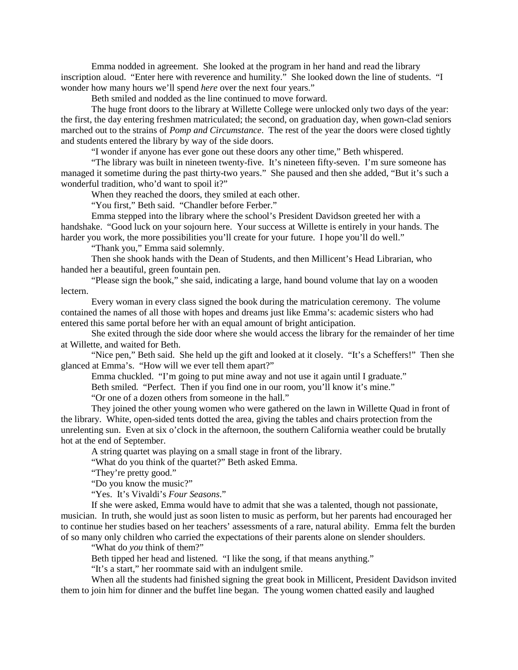Emma nodded in agreement. She looked at the program in her hand and read the library inscription aloud. "Enter here with reverence and humility." She looked down the line of students. "I wonder how many hours we'll spend *here* over the next four years."

Beth smiled and nodded as the line continued to move forward.

The huge front doors to the library at Willette College were unlocked only two days of the year: the first, the day entering freshmen matriculated; the second, on graduation day, when gown-clad seniors marched out to the strains of *Pomp and Circumstance*. The rest of the year the doors were closed tightly and students entered the library by way of the side doors.

"I wonder if anyone has ever gone out these doors any other time," Beth whispered.

"The library was built in nineteen twenty-five. It's nineteen fifty-seven. I'm sure someone has managed it sometime during the past thirty-two years." She paused and then she added, "But it's such a wonderful tradition, who'd want to spoil it?"

When they reached the doors, they smiled at each other.

"You first," Beth said. "Chandler before Ferber."

Emma stepped into the library where the school's President Davidson greeted her with a handshake. "Good luck on your sojourn here. Your success at Willette is entirely in your hands. The harder you work, the more possibilities you'll create for your future. I hope you'll do well."

"Thank you," Emma said solemnly.

Then she shook hands with the Dean of Students, and then Millicent's Head Librarian, who handed her a beautiful, green fountain pen.

"Please sign the book," she said, indicating a large, hand bound volume that lay on a wooden lectern.

Every woman in every class signed the book during the matriculation ceremony. The volume contained the names of all those with hopes and dreams just like Emma's: academic sisters who had entered this same portal before her with an equal amount of bright anticipation.

She exited through the side door where she would access the library for the remainder of her time at Willette, and waited for Beth.

"Nice pen," Beth said. She held up the gift and looked at it closely. "It's a Scheffers!" Then she glanced at Emma's. "How will we ever tell them apart?"

Emma chuckled. "I'm going to put mine away and not use it again until I graduate."

Beth smiled. "Perfect. Then if you find one in our room, you'll know it's mine."

"Or one of a dozen others from someone in the hall."

They joined the other young women who were gathered on the lawn in Willette Quad in front of the library. White, open-sided tents dotted the area, giving the tables and chairs protection from the unrelenting sun. Even at six o'clock in the afternoon, the southern California weather could be brutally hot at the end of September.

A string quartet was playing on a small stage in front of the library.

"What do you think of the quartet?" Beth asked Emma.

"They're pretty good."

"Do you know the music?"

"Yes. It's Vivaldi's *Four Seasons*."

If she were asked, Emma would have to admit that she was a talented, though not passionate, musician. In truth, she would just as soon listen to music as perform, but her parents had encouraged her to continue her studies based on her teachers' assessments of a rare, natural ability. Emma felt the burden of so many only children who carried the expectations of their parents alone on slender shoulders.

"What do *you* think of them?"

Beth tipped her head and listened. "I like the song, if that means anything."

"It's a start," her roommate said with an indulgent smile.

When all the students had finished signing the great book in Millicent, President Davidson invited them to join him for dinner and the buffet line began. The young women chatted easily and laughed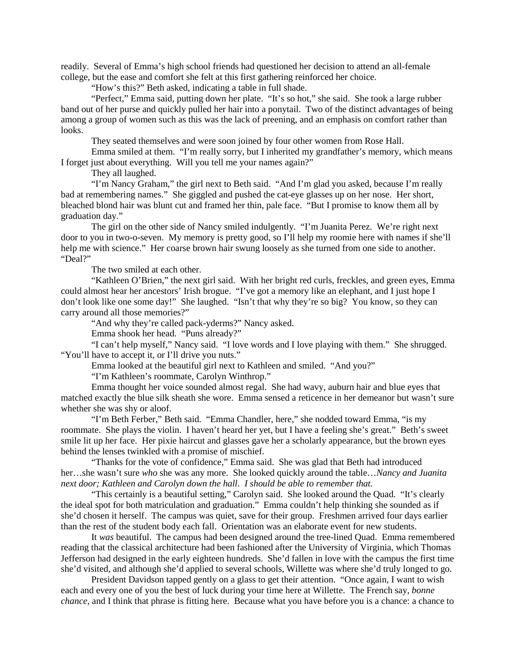readily. Several of Emma's high school friends had questioned her decision to attend an all-female college, but the ease and comfort she felt at this first gathering reinforced her choice.

"How's this?" Beth asked, indicating a table in full shade.

"Perfect," Emma said, putting down her plate. "It's so hot," she said. She took a large rubber band out of her purse and quickly pulled her hair into a ponytail. Two of the distinct advantages of being among a group of women such as this was the lack of preening, and an emphasis on comfort rather than looks.

They seated themselves and were soon joined by four other women from Rose Hall.

Emma smiled at them. "I'm really sorry, but I inherited my grandfather's memory, which means I forget just about everything. Will you tell me your names again?"

They all laughed.

"I'm Nancy Graham," the girl next to Beth said. "And I'm glad you asked, because I'm really bad at remembering names." She giggled and pushed the cat-eye glasses up on her nose. Her short, bleached blond hair was blunt cut and framed her thin, pale face. "But I promise to know them all by graduation day."

The girl on the other side of Nancy smiled indulgently. "I'm Juanita Perez. We're right next door to you in two-o-seven. My memory is pretty good, so I'll help my roomie here with names if she'll help me with science." Her coarse brown hair swung loosely as she turned from one side to another. "Deal?"

The two smiled at each other.

"Kathleen O'Brien," the next girl said. With her bright red curls, freckles, and green eyes, Emma could almost hear her ancestors' Irish brogue. "I've got a memory like an elephant, and I just hope I don't look like one some day!" She laughed. "Isn't that why they're so big? You know, so they can carry around all those memories?"

"And why they're called pack-yderms?" Nancy asked.

Emma shook her head. "Puns already?"

"I can't help myself," Nancy said. "I love words and I love playing with them." She shrugged. "You'll have to accept it, or I'll drive you nuts."

Emma looked at the beautiful girl next to Kathleen and smiled. "And you?"

"I'm Kathleen's roommate, Carolyn Winthrop."

Emma thought her voice sounded almost regal. She had wavy, auburn hair and blue eyes that matched exactly the blue silk sheath she wore. Emma sensed a reticence in her demeanor but wasn't sure whether she was shy or aloof.

"I'm Beth Ferber," Beth said. "Emma Chandler, here," she nodded toward Emma, "is my roommate. She plays the violin. I haven't heard her yet, but I have a feeling she's great." Beth's sweet smile lit up her face. Her pixie haircut and glasses gave her a scholarly appearance, but the brown eyes behind the lenses twinkled with a promise of mischief.

"Thanks for the vote of confidence," Emma said. She was glad that Beth had introduced her…she wasn't sure *who* she was any more. She looked quickly around the table…*Nancy and Juanita next door; Kathleen and Carolyn down the hall*. *I should be able to remember that.*

"This certainly is a beautiful setting," Carolyn said. She looked around the Quad. "It's clearly the ideal spot for both matriculation and graduation." Emma couldn't help thinking she sounded as if she'd chosen it herself. The campus was quiet, save for their group. Freshmen arrived four days earlier than the rest of the student body each fall. Orientation was an elaborate event for new students.

It *was* beautiful. The campus had been designed around the tree-lined Quad. Emma remembered reading that the classical architecture had been fashioned after the University of Virginia, which Thomas Jefferson had designed in the early eighteen hundreds. She'd fallen in love with the campus the first time she'd visited, and although she'd applied to several schools, Willette was where she'd truly longed to go.

President Davidson tapped gently on a glass to get their attention. "Once again, I want to wish each and every one of you the best of luck during your time here at Willette. The French say, *bonne chance,* and I think that phrase is fitting here. Because what you have before you is a chance: a chance to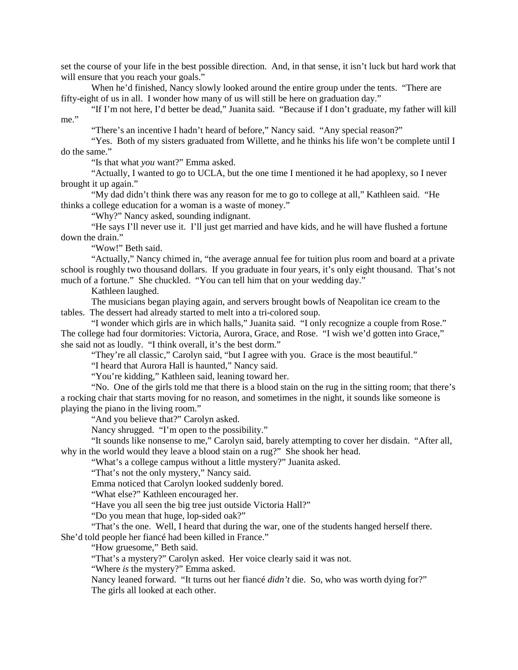set the course of your life in the best possible direction. And, in that sense, it isn't luck but hard work that will ensure that you reach your goals."

When he'd finished, Nancy slowly looked around the entire group under the tents. "There are fifty-eight of us in all. I wonder how many of us will still be here on graduation day."

"If I'm not here, I'd better be dead," Juanita said. "Because if I don't graduate, my father will kill me."

"There's an incentive I hadn't heard of before," Nancy said. "Any special reason?"

"Yes. Both of my sisters graduated from Willette, and he thinks his life won't be complete until I do the same."

"Is that what *you* want?" Emma asked.

"Actually, I wanted to go to UCLA, but the one time I mentioned it he had apoplexy, so I never brought it up again."

"My dad didn't think there was any reason for me to go to college at all," Kathleen said. "He thinks a college education for a woman is a waste of money."

"Why?" Nancy asked, sounding indignant.

"He says I'll never use it. I'll just get married and have kids, and he will have flushed a fortune down the drain."

"Wow!" Beth said.

"Actually," Nancy chimed in, "the average annual fee for tuition plus room and board at a private school is roughly two thousand dollars. If you graduate in four years, it's only eight thousand. That's not much of a fortune." She chuckled. "You can tell him that on your wedding day."

Kathleen laughed.

The musicians began playing again, and servers brought bowls of Neapolitan ice cream to the tables. The dessert had already started to melt into a tri-colored soup.

"I wonder which girls are in which halls," Juanita said. "I only recognize a couple from Rose." The college had four dormitories: Victoria, Aurora, Grace, and Rose. "I wish we'd gotten into Grace," she said not as loudly. "I think overall, it's the best dorm."

"They're all classic," Carolyn said, "but I agree with you. Grace is the most beautiful."

"I heard that Aurora Hall is haunted," Nancy said.

"You're kidding," Kathleen said, leaning toward her.

"No. One of the girls told me that there is a blood stain on the rug in the sitting room; that there's a rocking chair that starts moving for no reason, and sometimes in the night, it sounds like someone is playing the piano in the living room."

"And you believe that?" Carolyn asked.

Nancy shrugged. "I'm open to the possibility."

"It sounds like nonsense to me," Carolyn said, barely attempting to cover her disdain. "After all, why in the world would they leave a blood stain on a rug?" She shook her head.

"What's a college campus without a little mystery?" Juanita asked.

"That's not the only mystery," Nancy said.

Emma noticed that Carolyn looked suddenly bored.

"What else?" Kathleen encouraged her.

"Have you all seen the big tree just outside Victoria Hall?"

"Do you mean that huge, lop-sided oak?"

"That's the one. Well, I heard that during the war, one of the students hanged herself there. She'd told people her fiancé had been killed in France."

"How gruesome," Beth said.

"That's a mystery?" Carolyn asked. Her voice clearly said it was not.

"Where *is* the mystery?" Emma asked.

Nancy leaned forward. "It turns out her fiancé *didn't* die. So, who was worth dying for?" The girls all looked at each other.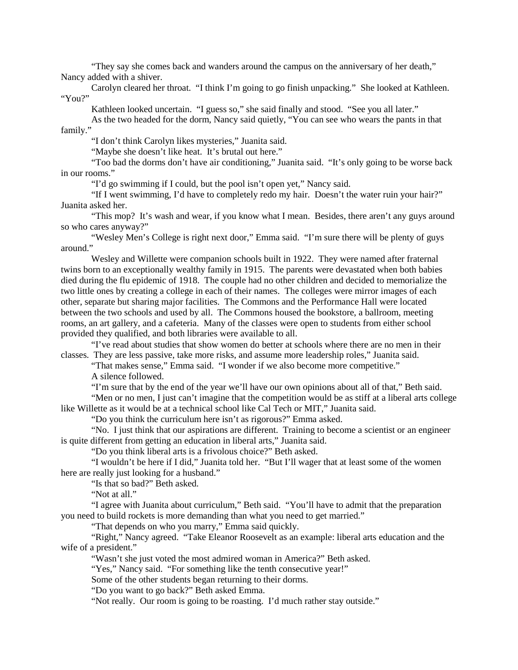"They say she comes back and wanders around the campus on the anniversary of her death," Nancy added with a shiver.

Carolyn cleared her throat. "I think I'm going to go finish unpacking." She looked at Kathleen. "You?"

Kathleen looked uncertain. "I guess so," she said finally and stood. "See you all later."

As the two headed for the dorm, Nancy said quietly, "You can see who wears the pants in that family."

"I don't think Carolyn likes mysteries," Juanita said.

"Maybe she doesn't like heat. It's brutal out here."

"Too bad the dorms don't have air conditioning," Juanita said. "It's only going to be worse back in our rooms."

"I'd go swimming if I could, but the pool isn't open yet," Nancy said.

"If I went swimming, I'd have to completely redo my hair. Doesn't the water ruin your hair?" Juanita asked her.

"This mop? It's wash and wear, if you know what I mean. Besides, there aren't any guys around so who cares anyway?"

"Wesley Men's College is right next door," Emma said. "I'm sure there will be plenty of guys around."

Wesley and Willette were companion schools built in 1922. They were named after fraternal twins born to an exceptionally wealthy family in 1915. The parents were devastated when both babies died during the flu epidemic of 1918. The couple had no other children and decided to memorialize the two little ones by creating a college in each of their names. The colleges were mirror images of each other, separate but sharing major facilities. The Commons and the Performance Hall were located between the two schools and used by all. The Commons housed the bookstore, a ballroom, meeting rooms, an art gallery, and a cafeteria. Many of the classes were open to students from either school provided they qualified, and both libraries were available to all.

"I've read about studies that show women do better at schools where there are no men in their classes. They are less passive, take more risks, and assume more leadership roles," Juanita said.

"That makes sense," Emma said. "I wonder if we also become more competitive."

A silence followed.

"I'm sure that by the end of the year we'll have our own opinions about all of that," Beth said.

"Men or no men, I just can't imagine that the competition would be as stiff at a liberal arts college like Willette as it would be at a technical school like Cal Tech or MIT," Juanita said.

"Do you think the curriculum here isn't as rigorous?" Emma asked.

"No. I just think that our aspirations are different. Training to become a scientist or an engineer is quite different from getting an education in liberal arts," Juanita said.

"Do you think liberal arts is a frivolous choice?" Beth asked.

"I wouldn't be here if I did," Juanita told her. "But I'll wager that at least some of the women here are really just looking for a husband."

"Is that so bad?" Beth asked.

"Not at all."

"I agree with Juanita about curriculum," Beth said. "You'll have to admit that the preparation you need to build rockets is more demanding than what you need to get married."

"That depends on who you marry," Emma said quickly.

"Right," Nancy agreed. "Take Eleanor Roosevelt as an example: liberal arts education and the wife of a president."

"Wasn't she just voted the most admired woman in America?" Beth asked.

"Yes," Nancy said. "For something like the tenth consecutive year!"

Some of the other students began returning to their dorms.

"Do you want to go back?" Beth asked Emma.

"Not really. Our room is going to be roasting. I'd much rather stay outside."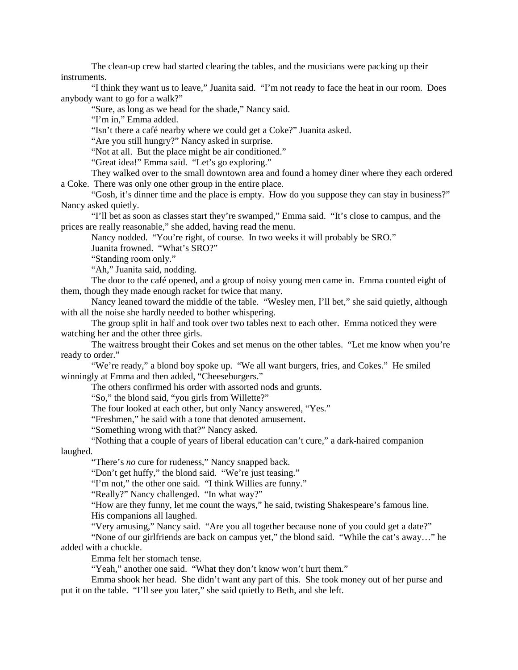The clean-up crew had started clearing the tables, and the musicians were packing up their instruments.

"I think they want us to leave," Juanita said. "I'm not ready to face the heat in our room. Does anybody want to go for a walk?"

"Sure, as long as we head for the shade," Nancy said.

"I'm in," Emma added.

"Isn't there a café nearby where we could get a Coke?" Juanita asked.

"Are you still hungry?" Nancy asked in surprise.

"Not at all. But the place might be air conditioned."

"Great idea!" Emma said. "Let's go exploring."

They walked over to the small downtown area and found a homey diner where they each ordered a Coke. There was only one other group in the entire place.

"Gosh, it's dinner time and the place is empty. How do you suppose they can stay in business?" Nancy asked quietly.

"I'll bet as soon as classes start they're swamped," Emma said. "It's close to campus, and the prices are really reasonable," she added, having read the menu.

Nancy nodded. "You're right, of course. In two weeks it will probably be SRO."

Juanita frowned. "What's SRO?"

"Standing room only."

"Ah," Juanita said, nodding.

The door to the café opened, and a group of noisy young men came in. Emma counted eight of them, though they made enough racket for twice that many.

Nancy leaned toward the middle of the table. "Wesley men, I'll bet," she said quietly, although with all the noise she hardly needed to bother whispering.

The group split in half and took over two tables next to each other. Emma noticed they were watching her and the other three girls.

The waitress brought their Cokes and set menus on the other tables. "Let me know when you're ready to order."

"We're ready," a blond boy spoke up. "We all want burgers, fries, and Cokes." He smiled winningly at Emma and then added, "Cheeseburgers."

The others confirmed his order with assorted nods and grunts.

"So," the blond said, "you girls from Willette?"

The four looked at each other, but only Nancy answered, "Yes."

"Freshmen," he said with a tone that denoted amusement.

"Something wrong with that?" Nancy asked.

"Nothing that a couple of years of liberal education can't cure," a dark-haired companion

laughed.

"There's *no* cure for rudeness," Nancy snapped back.

"Don't get huffy," the blond said. "We're just teasing."

"I'm not," the other one said. "I think Willies are funny."

"Really?" Nancy challenged. "In what way?"

"How are they funny, let me count the ways," he said, twisting Shakespeare's famous line. His companions all laughed.

"Very amusing," Nancy said. "Are you all together because none of you could get a date?"

"None of our girlfriends are back on campus yet," the blond said. "While the cat's away…" he added with a chuckle.

Emma felt her stomach tense.

"Yeah," another one said. "What they don't know won't hurt them."

Emma shook her head. She didn't want any part of this. She took money out of her purse and put it on the table. "I'll see you later," she said quietly to Beth, and she left.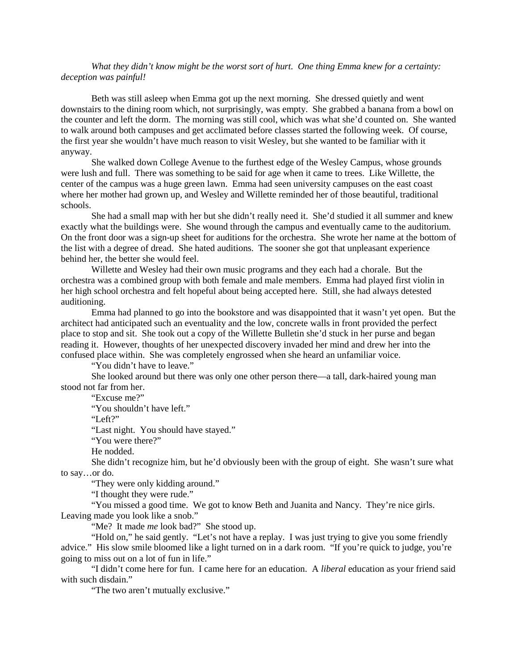What they didn't know might be the worst sort of hurt. One thing Emma knew for a certainty: *deception was painful!*

Beth was still asleep when Emma got up the next morning. She dressed quietly and went downstairs to the dining room which, not surprisingly, was empty. She grabbed a banana from a bowl on the counter and left the dorm. The morning was still cool, which was what she'd counted on. She wanted to walk around both campuses and get acclimated before classes started the following week. Of course, the first year she wouldn't have much reason to visit Wesley, but she wanted to be familiar with it anyway.

She walked down College Avenue to the furthest edge of the Wesley Campus, whose grounds were lush and full. There was something to be said for age when it came to trees. Like Willette, the center of the campus was a huge green lawn. Emma had seen university campuses on the east coast where her mother had grown up, and Wesley and Willette reminded her of those beautiful, traditional schools.

She had a small map with her but she didn't really need it. She'd studied it all summer and knew exactly what the buildings were. She wound through the campus and eventually came to the auditorium. On the front door was a sign-up sheet for auditions for the orchestra. She wrote her name at the bottom of the list with a degree of dread. She hated auditions. The sooner she got that unpleasant experience behind her, the better she would feel.

Willette and Wesley had their own music programs and they each had a chorale. But the orchestra was a combined group with both female and male members. Emma had played first violin in her high school orchestra and felt hopeful about being accepted here. Still, she had always detested auditioning.

Emma had planned to go into the bookstore and was disappointed that it wasn't yet open. But the architect had anticipated such an eventuality and the low, concrete walls in front provided the perfect place to stop and sit. She took out a copy of the Willette Bulletin she'd stuck in her purse and began reading it. However, thoughts of her unexpected discovery invaded her mind and drew her into the confused place within. She was completely engrossed when she heard an unfamiliar voice.

"You didn't have to leave."

She looked around but there was only one other person there—a tall, dark-haired young man stood not far from her.

"Excuse me?"

"You shouldn't have left."

"Left?"

"Last night. You should have stayed."

"You were there?"

He nodded.

She didn't recognize him, but he'd obviously been with the group of eight. She wasn't sure what to say…or do.

"They were only kidding around."

"I thought they were rude."

"You missed a good time. We got to know Beth and Juanita and Nancy. They're nice girls. Leaving made you look like a snob."

"Me? It made *me* look bad?" She stood up.

"Hold on," he said gently. "Let's not have a replay. I was just trying to give you some friendly advice." His slow smile bloomed like a light turned on in a dark room. "If you're quick to judge, you're going to miss out on a lot of fun in life."

"I didn't come here for fun. I came here for an education. A *liberal* education as your friend said with such disdain."

"The two aren't mutually exclusive."